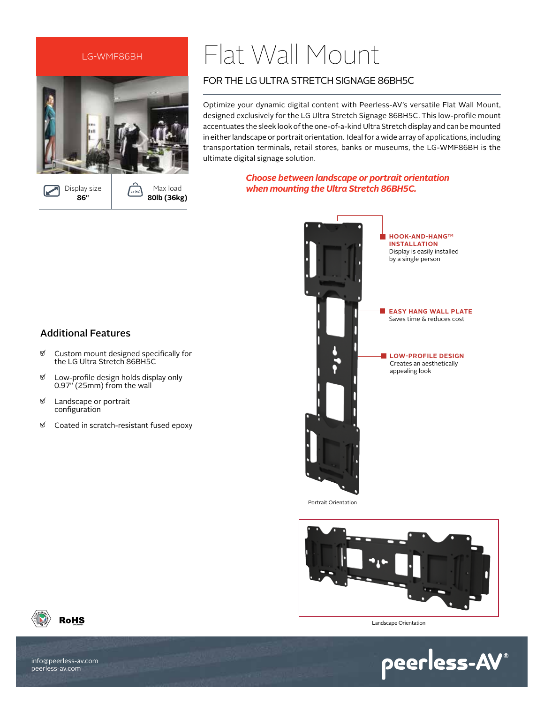LG-WMF86BH



# Flat Wall Mount

## FOR THE LG ULTRA STRETCH SIGNAGE 86BH5C

Optimize your dynamic digital content with Peerless-AV's versatile Flat Wall Mount, designed exclusively for the LG Ultra Stretch Signage 86BH5C. This low-profile mount accentuates the sleek look of the one-of-a-kind Ultra Stretch display and can be mounted in either landscape or portrait orientation. Ideal for a wide array of applications, including transportation terminals, retail stores, banks or museums, the LG-WMF86BH is the ultimate digital signage solution.

### *Choose between landscape or portrait orientation when mounting the Ultra Stretch 86BH5C.*

## **HOOK-AND-HANGTM** T. **INSTALLATION** Display is easily installed by a single person **EASY HANG WALL PLATE** Saves time & reduces cost **LOW-PROFILE DESIGN**  Creates an aesthetically appealing look

Portrait Orientation



Landscape Orientation



## Additional Features

- $\%$  Custom mount designed specifically for the LG Ultra Stretch 86BH5C
- $\%$  Low-profile design holds display only 0.97" (25mm) from the wall
- Landscape or portrait configuration
- Coated in scratch-resistant fused epoxy



info@peerless-av.com peerless-av.com